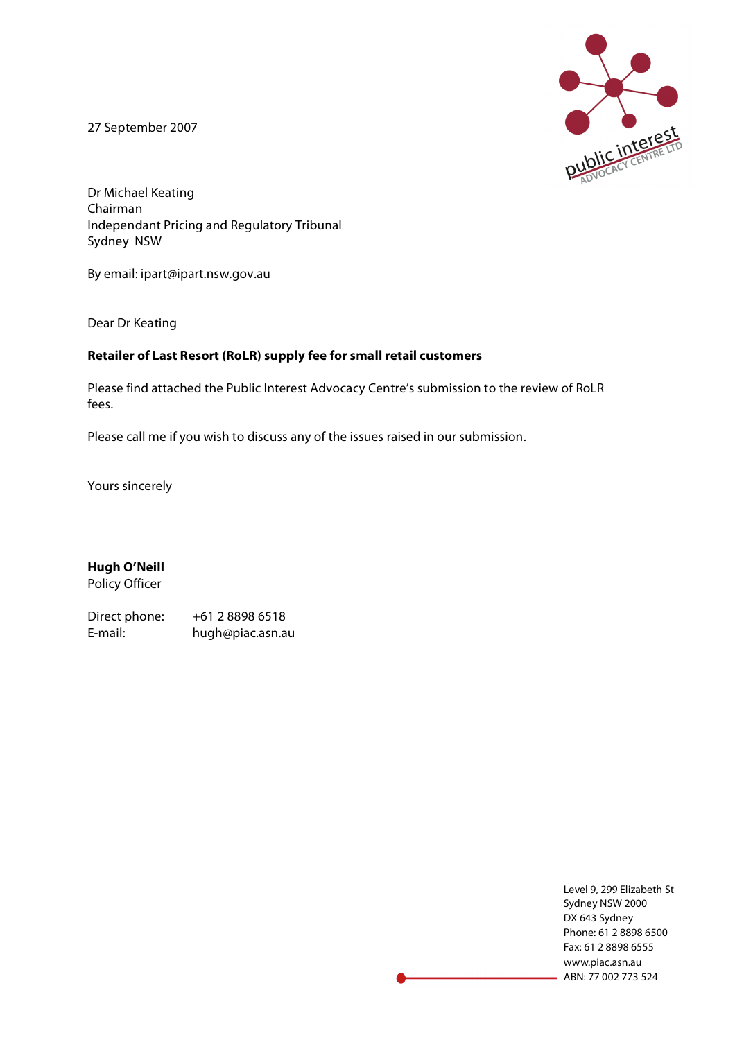27 September 2007



Dr Michael Keating Chairman Independant Pricing and Regulatory Tribunal Sydney NSW

By email: ipart@ipart.nsw.gov.au

Dear Dr Keating

#### **Retailer of Last Resort (RoLR) supply fee for small retail customers**

Please find attached the Public Interest Advocacy Centre's submission to the review of RoLR fees.

Please call me if you wish to discuss any of the issues raised in our submission.

Yours sincerely

**Hugh O'Neill** Policy Officer

Direct phone: +61 2 8898 6518 E-mail: hugh@piac.asn.au

> Level 9, 299 Elizabeth St Sydney NSW 2000 DX 643 Sydney Phone: 61 2 8898 6500 Fax: 61 2 8898 6555 www.piac.asn.au ABN: 77 002 773 524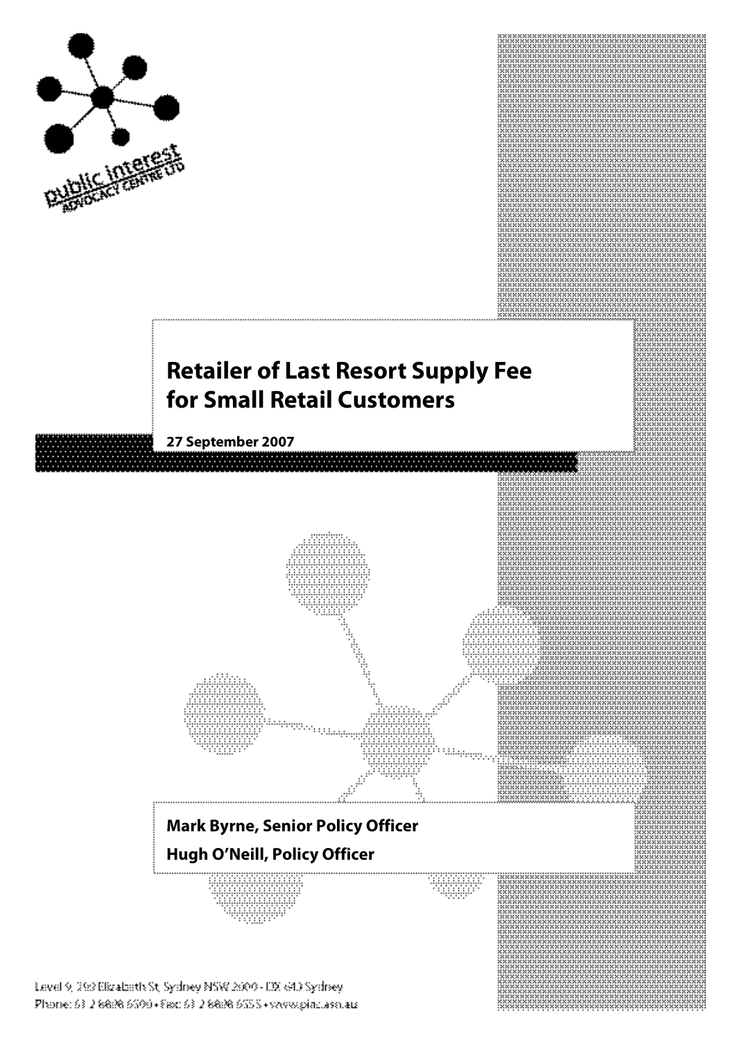

# **Retailer of Last Resort Supply Fee for Small Retail Customers**

**27 September 2007**

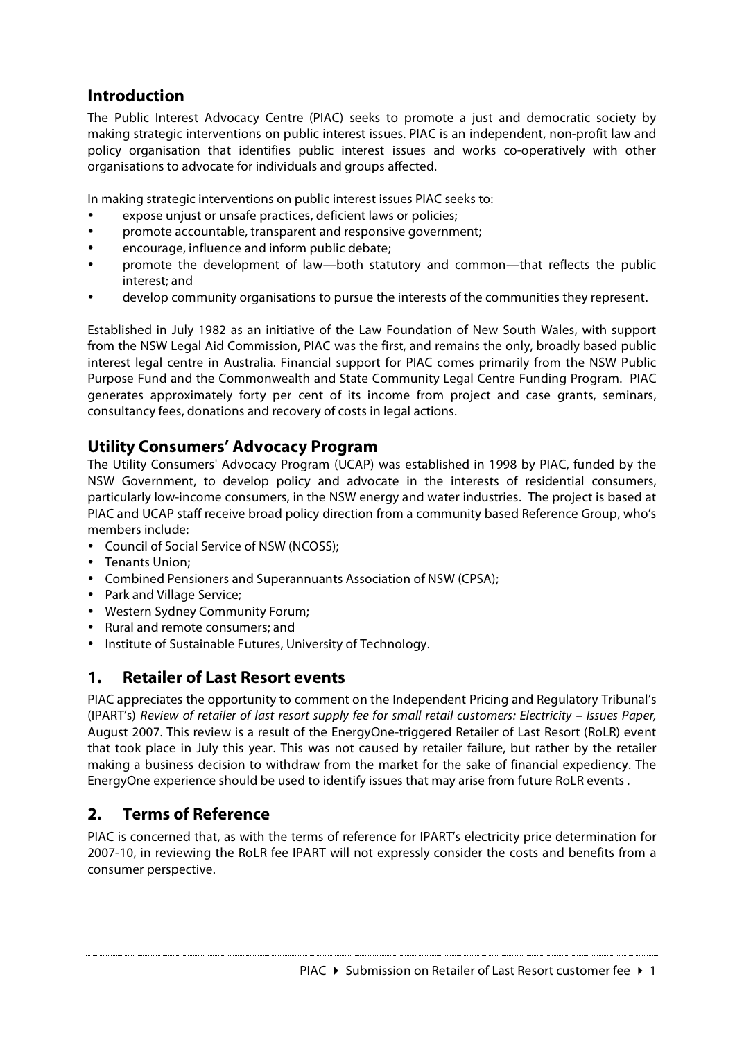## **Introduction**

The Public Interest Advocacy Centre (PIAC) seeks to promote a just and democratic society by making strategic interventions on public interest issues. PIAC is an independent, non-profit law and policy organisation that identifies public interest issues and works co-operatively with other organisations to advocate for individuals and groups affected.

In making strategic interventions on public interest issues PIAC seeks to:

- expose unjust or unsafe practices, deficient laws or policies;
- promote accountable, transparent and responsive government;
- encourage, influence and inform public debate;
- promote the development of law—both statutory and common—that reflects the public interest; and
- develop community organisations to pursue the interests of the communities they represent.

Established in July 1982 as an initiative of the Law Foundation of New South Wales, with support from the NSW Legal Aid Commission, PIAC was the first, and remains the only, broadly based public interest legal centre in Australia. Financial support for PIAC comes primarily from the NSW Public Purpose Fund and the Commonwealth and State Community Legal Centre Funding Program. PIAC generates approximately forty per cent of its income from project and case grants, seminars, consultancy fees, donations and recovery of costs in legal actions.

## **Utility Consumers' Advocacy Program**

The Utility Consumers' Advocacy Program (UCAP) was established in 1998 by PIAC, funded by the NSW Government, to develop policy and advocate in the interests of residential consumers, particularly low-income consumers, in the NSW energy and water industries. The project is based at PIAC and UCAP staff receive broad policy direction from a community based Reference Group, who's members include:

- Council of Social Service of NSW (NCOSS);
- Tenants Union;
- Combined Pensioners and Superannuants Association of NSW (CPSA);
- Park and Village Service;
- Western Sydney Community Forum;
- Rural and remote consumers; and
- Institute of Sustainable Futures, University of Technology.

## **1. Retailer of Last Resort events**

PIAC appreciates the opportunity to comment on the Independent Pricing and Regulatory Tribunal's (IPART's) Review of retailer of last resort supply fee for small retail customers: Electricity – Issues Paper, August 2007. This review is a result of the EnergyOne-triggered Retailer of Last Resort (RoLR) event that took place in July this year. This was not caused by retailer failure, but rather by the retailer making a business decision to withdraw from the market for the sake of financial expediency. The EnergyOne experience should be used to identify issues that may arise from future RoLR events .

## **2. Terms of Reference**

PIAC is concerned that, as with the terms of reference for IPART's electricity price determination for 2007-10, in reviewing the RoLR fee IPART will not expressly consider the costs and benefits from a consumer perspective.

PIAC  $\triangleright$  Submission on Retailer of Last Resort customer fee  $\triangleright$  1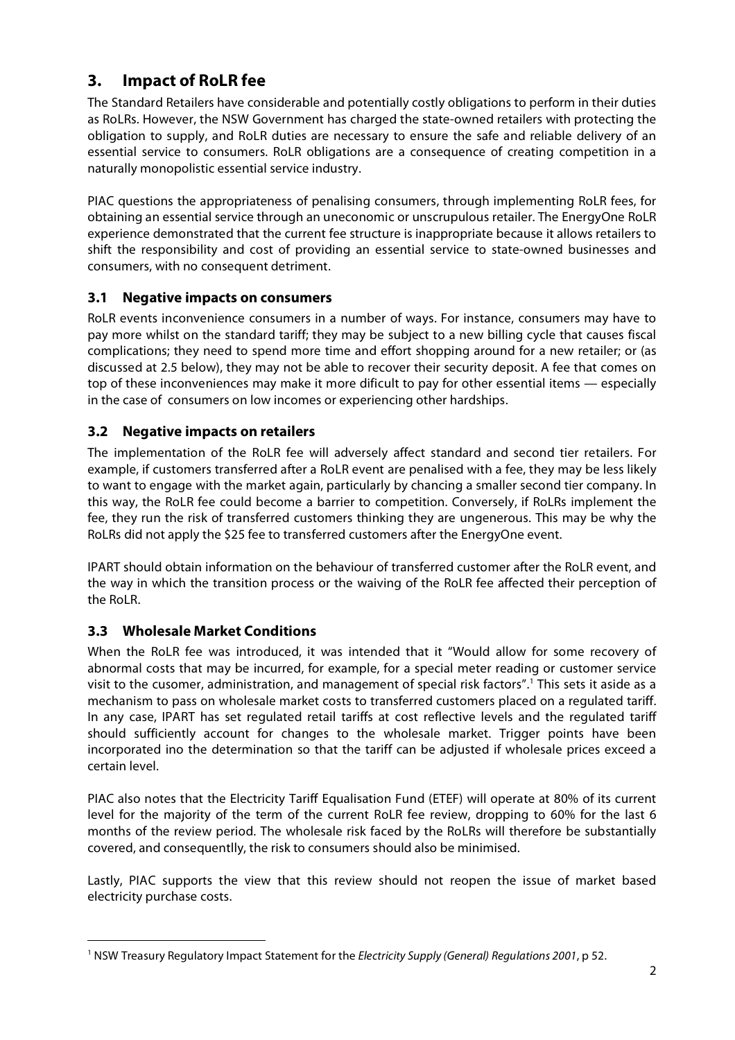# **3. Impact of RoLR fee**

The Standard Retailers have considerable and potentially costly obligations to perform in their duties as RoLRs. However, the NSW Government has charged the state-owned retailers with protecting the obligation to supply, and RoLR duties are necessary to ensure the safe and reliable delivery of an essential service to consumers. RoLR obligations are a consequence of creating competition in a naturally monopolistic essential service industry.

PIAC questions the appropriateness of penalising consumers, through implementing RoLR fees, for obtaining an essential service through an uneconomic or unscrupulous retailer. The EnergyOne RoLR experience demonstrated that the current fee structure is inappropriate because it allows retailers to shift the responsibility and cost of providing an essential service to state-owned businesses and consumers, with no consequent detriment.

#### **3.1 Negative impacts on consumers**

RoLR events inconvenience consumers in a number of ways. For instance, consumers may have to pay more whilst on the standard tariff; they may be subject to a new billing cycle that causes fiscal complications; they need to spend more time and effort shopping around for a new retailer; or (as discussed at 2.5 below), they may not be able to recover their security deposit. A fee that comes on top of these inconveniences may make it more dificult to pay for other essential items — especially in the case of consumers on low incomes or experiencing other hardships.

## **3.2 Negative impacts on retailers**

The implementation of the RoLR fee will adversely affect standard and second tier retailers. For example, if customers transferred after a RoLR event are penalised with a fee, they may be less likely to want to engage with the market again, particularly by chancing a smaller second tier company. In this way, the RoLR fee could become a barrier to competition. Conversely, if RoLRs implement the fee, they run the risk of transferred customers thinking they are ungenerous. This may be why the RoLRs did not apply the \$25 fee to transferred customers after the EnergyOne event.

IPART should obtain information on the behaviour of transferred customer after the RoLR event, and the way in which the transition process or the waiving of the RoLR fee affected their perception of the RoLR.

## **3.3 Wholesale Market Conditions**

When the RoLR fee was introduced, it was intended that it "Would allow for some recovery of abnormal costs that may be incurred, for example, for a special meter reading or customer service visit to the cusomer, administration, and management of special risk factors". <sup>1</sup> This sets it aside as a mechanism to pass on wholesale market costs to transferred customers placed on a regulated tariff. In any case, IPART has set regulated retail tariffs at cost reflective levels and the regulated tariff should sufficiently account for changes to the wholesale market. Trigger points have been incorporated ino the determination so that the tariff can be adjusted if wholesale prices exceed a certain level.

PIAC also notes that the Electricity Tariff Equalisation Fund (ETEF) will operate at 80% of its current level for the majority of the term of the current RoLR fee review, dropping to 60% for the last 6 months of the review period. The wholesale risk faced by the RoLRs will therefore be substantially covered, and consequentlly, the risk to consumers should also be minimised.

Lastly, PIAC supports the view that this review should not reopen the issue of market based electricity purchase costs.

<sup>&</sup>lt;sup>1</sup> NSW Treasury Regulatory Impact Statement for the *Electricity Supply (General) Regulations 2001*, p 52.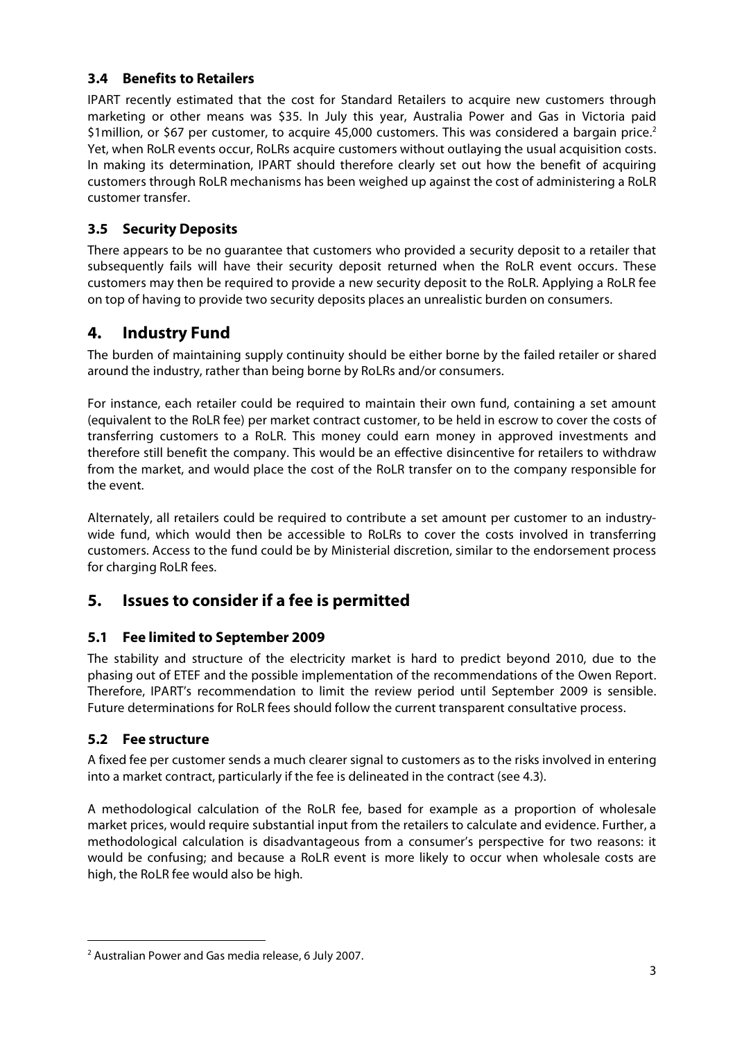#### **3.4 Benefits to Retailers**

IPART recently estimated that the cost for Standard Retailers to acquire new customers through marketing or other means was \$35. In July this year, Australia Power and Gas in Victoria paid \$1 million, or \$67 per customer, to acquire 45,000 customers. This was considered a bargain price.<sup>2</sup> Yet, when RoLR events occur, RoLRs acquire customers without outlaying the usual acquisition costs. In making its determination, IPART should therefore clearly set out how the benefit of acquiring customers through RoLR mechanisms has been weighed up against the cost of administering a RoLR customer transfer.

#### **3.5 Security Deposits**

There appears to be no guarantee that customers who provided a security deposit to a retailer that subsequently fails will have their security deposit returned when the RoLR event occurs. These customers may then be required to provide a new security deposit to the RoLR. Applying a RoLR fee on top of having to provide two security deposits places an unrealistic burden on consumers.

## **4. Industry Fund**

The burden of maintaining supply continuity should be either borne by the failed retailer or shared around the industry, rather than being borne by RoLRs and/or consumers.

For instance, each retailer could be required to maintain their own fund, containing a set amount (equivalent to the RoLR fee) per market contract customer, to be held in escrow to cover the costs of transferring customers to a RoLR. This money could earn money in approved investments and therefore still benefit the company. This would be an effective disincentive for retailers to withdraw from the market, and would place the cost of the RoLR transfer on to the company responsible for the event.

Alternately, all retailers could be required to contribute a set amount per customer to an industrywide fund, which would then be accessible to RoLRs to cover the costs involved in transferring customers. Access to the fund could be by Ministerial discretion, similar to the endorsement process for charging RoLR fees.

## **5. Issues to consider if a fee is permitted**

#### **5.1 Fee limited to September 2009**

The stability and structure of the electricity market is hard to predict beyond 2010, due to the phasing out of ETEF and the possible implementation of the recommendations of the Owen Report. Therefore, IPART's recommendation to limit the review period until September 2009 is sensible. Future determinations for RoLR fees should follow the current transparent consultative process.

#### **5.2 Fee structure**

A fixed fee per customer sends a much clearer signal to customers as to the risks involved in entering into a market contract, particularly if the fee is delineated in the contract (see 4.3).

A methodological calculation of the RoLR fee, based for example as a proportion of wholesale market prices, would require substantial input from the retailers to calculate and evidence. Further, a methodological calculation is disadvantageous from a consumer's perspective for two reasons: it would be confusing; and because a RoLR event is more likely to occur when wholesale costs are high, the RoLR fee would also be high.

 <sup>2</sup> Australian Power and Gas media release, <sup>6</sup> July 2007.